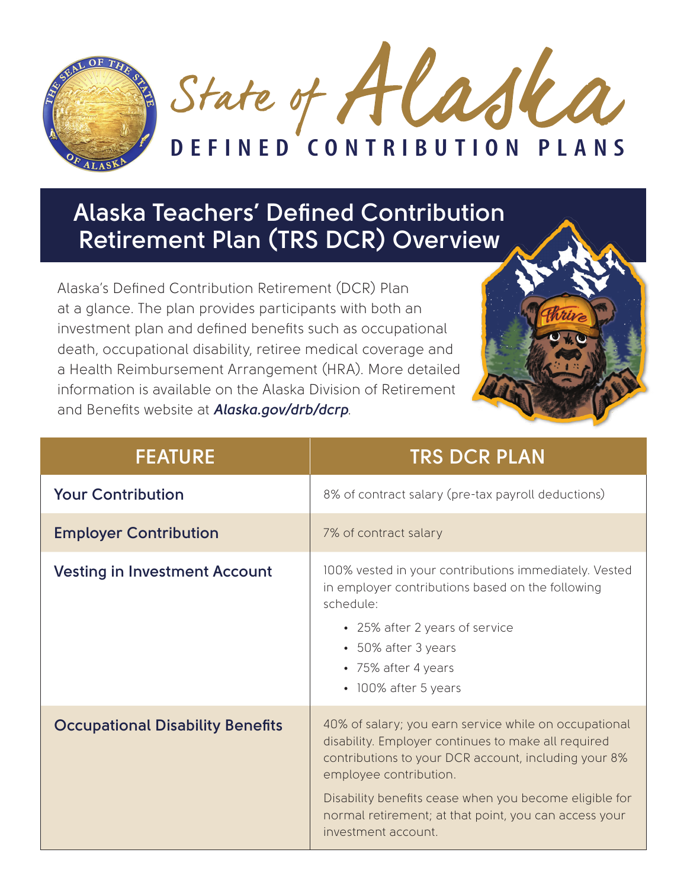

## **Alaska Teachers' Defined Contribution Retirement Plan (TRS DCR) Overview**

Alaska's Defined Contribution Retirement (DCR) Plan at a glance. The plan provides participants with both an investment plan and defined benefits such as occupational death, occupational disability, retiree medical coverage and a Health Reimbursement Arrangement (HRA). More detailed information is available on the Alaska Division of Retirement and Benefits website at *Alaska.gov/drb/dcrp*.



| <b>FEATURE</b>                          | <b>TRS DCR PLAN</b>                                                                                                                                                                                                                                                                                                                      |
|-----------------------------------------|------------------------------------------------------------------------------------------------------------------------------------------------------------------------------------------------------------------------------------------------------------------------------------------------------------------------------------------|
| <b>Your Contribution</b>                | 8% of contract salary (pre-tax payroll deductions)                                                                                                                                                                                                                                                                                       |
| <b>Employer Contribution</b>            | 7% of contract salary                                                                                                                                                                                                                                                                                                                    |
| <b>Vesting in Investment Account</b>    | 100% vested in your contributions immediately. Vested<br>in employer contributions based on the following<br>schedule:<br>• 25% after 2 years of service<br>• 50% after 3 years<br>• 75% after 4 years<br>• 100% after 5 years                                                                                                           |
| <b>Occupational Disability Benefits</b> | 40% of salary; you earn service while on occupational<br>disability. Employer continues to make all required<br>contributions to your DCR account, including your 8%<br>employee contribution.<br>Disability benefits cease when you become eligible for<br>normal retirement; at that point, you can access your<br>investment account. |